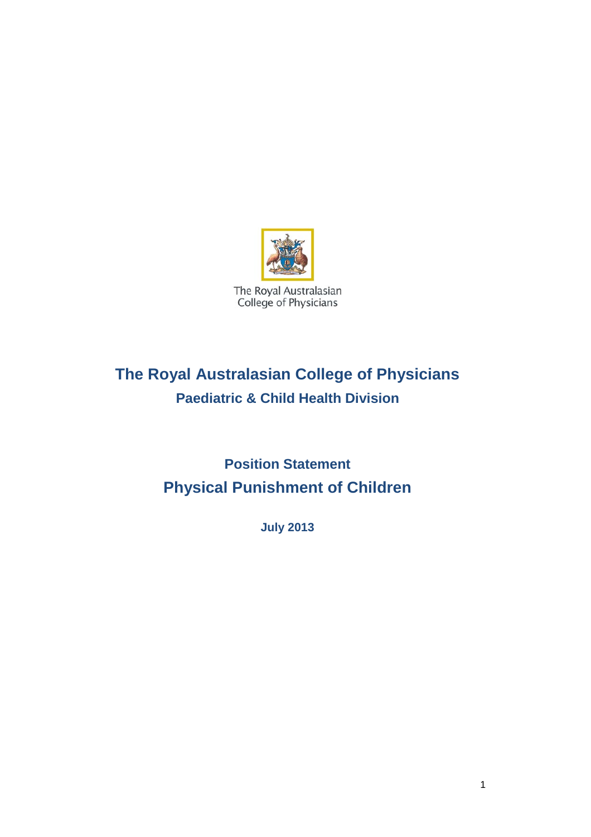

# **The Royal Australasian College of Physicians Paediatric & Child Health Division**

**Position Statement Physical Punishment of Children**

**July 2013**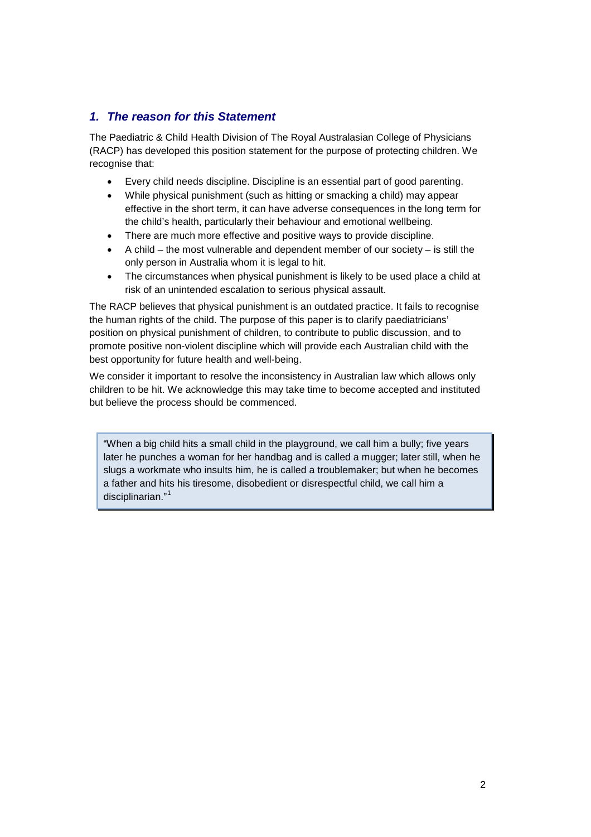# *1. The reason for this Statement*

The Paediatric & Child Health Division of The Royal Australasian College of Physicians (RACP) has developed this position statement for the purpose of protecting children. We recognise that:

- Every child needs discipline. Discipline is an essential part of good parenting.
- While physical punishment (such as hitting or smacking a child) may appear effective in the short term, it can have adverse consequences in the long term for the child's health, particularly their behaviour and emotional wellbeing.
- There are much more effective and positive ways to provide discipline.
- A child the most vulnerable and dependent member of our society is still the only person in Australia whom it is legal to hit.
- The circumstances when physical punishment is likely to be used place a child at risk of an unintended escalation to serious physical assault.

The RACP believes that physical punishment is an outdated practice. It fails to recognise the human rights of the child. The purpose of this paper is to clarify paediatricians' position on physical punishment of children, to contribute to public discussion, and to promote positive non-violent discipline which will provide each Australian child with the best opportunity for future health and well-being.

We consider it important to resolve the inconsistency in Australian law which allows only children to be hit. We acknowledge this may take time to become accepted and instituted but believe the process should be commenced.

"When a big child hits a small child in the playground, we call him a bully; five years later he punches a woman for her handbag and is called a mugger; later still, when he slugs a workmate who insults him, he is called a troublemaker; but when he becomes a father and hits his tiresome, disobedient or disrespectful child, we call him a disciplinarian."<sup>[1](#page-12-0)</sup>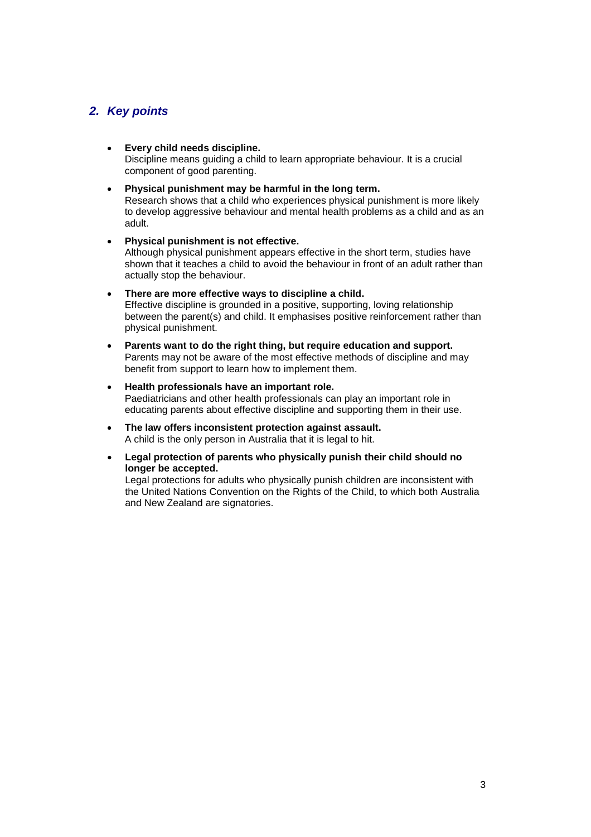# *2. Key points*

- **Every child needs discipline.** Discipline means guiding a child to learn appropriate behaviour. It is a crucial component of good parenting.
- **Physical punishment may be harmful in the long term.** Research shows that a child who experiences physical punishment is more likely

to develop aggressive behaviour and mental health problems as a child and as an adult.

- **Physical punishment is not effective.** Although physical punishment appears effective in the short term, studies have shown that it teaches a child to avoid the behaviour in front of an adult rather than actually stop the behaviour.
- **There are more effective ways to discipline a child.** Effective discipline is grounded in a positive, supporting, loving relationship between the parent(s) and child. It emphasises positive reinforcement rather than physical punishment.
- **Parents want to do the right thing, but require education and support.** Parents may not be aware of the most effective methods of discipline and may benefit from support to learn how to implement them.
- **Health professionals have an important role.** Paediatricians and other health professionals can play an important role in educating parents about effective discipline and supporting them in their use.
- **The law offers inconsistent protection against assault.** A child is the only person in Australia that it is legal to hit.
- **Legal protection of parents who physically punish their child should no longer be accepted.**

Legal protections for adults who physically punish children are inconsistent with the United Nations Convention on the Rights of the Child, to which both Australia and New Zealand are signatories.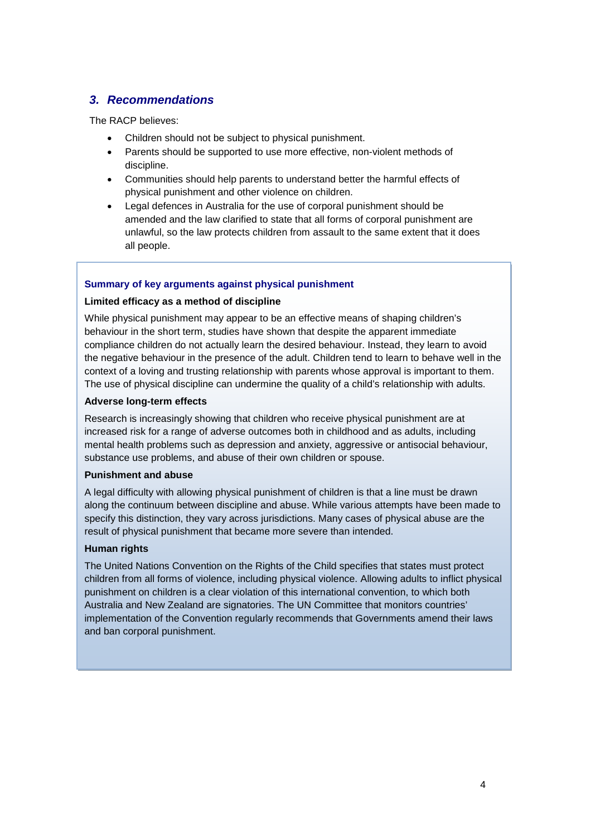# *3. Recommendations*

The RACP believes:

- Children should not be subject to physical punishment.
- Parents should be supported to use more effective, non-violent methods of discipline.
- Communities should help parents to understand better the harmful effects of physical punishment and other violence on children.
- Legal defences in Australia for the use of corporal punishment should be amended and the law clarified to state that all forms of corporal punishment are unlawful, so the law protects children from assault to the same extent that it does all people.

# **Summary of key arguments against physical punishment**

### **Limited efficacy as a method of discipline**

While physical punishment may appear to be an effective means of shaping children's behaviour in the short term, studies have shown that despite the apparent immediate compliance children do not actually learn the desired behaviour. Instead, they learn to avoid the negative behaviour in the presence of the adult. Children tend to learn to behave well in the context of a loving and trusting relationship with parents whose approval is important to them. The use of physical discipline can undermine the quality of a child's relationship with adults.

### **Adverse long-term effects**

Research is increasingly showing that children who receive physical punishment are at increased risk for a range of adverse outcomes both in childhood and as adults, including mental health problems such as depression and anxiety, aggressive or antisocial behaviour, substance use problems, and abuse of their own children or spouse.

### **Punishment and abuse**

A legal difficulty with allowing physical punishment of children is that a line must be drawn along the continuum between discipline and abuse. While various attempts have been made to specify this distinction, they vary across jurisdictions. Many cases of physical abuse are the result of physical punishment that became more severe than intended.

### **Human rights**

The United Nations Convention on the Rights of the Child specifies that states must protect children from all forms of violence, including physical violence. Allowing adults to inflict physical punishment on children is a clear violation of this international convention, to which both Australia and New Zealand are signatories. The UN Committee that monitors countries' implementation of the Convention regularly recommends that Governments amend their laws and ban corporal punishment.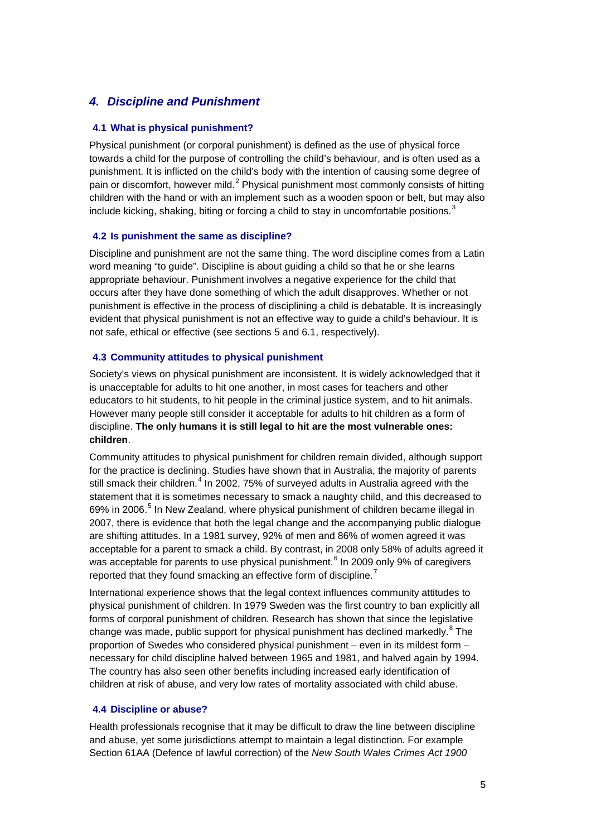# *4. Discipline and Punishment*

#### **4.1 What is physical punishment?**

Physical punishment (or corporal punishment) is defined as the use of physical force towards a child for the purpose of controlling the child's behaviour, and is often used as a punishment. It is inflicted on the child's body with the intention of causing some degree of pain or discomfort, however mild.<sup>[2](#page-13-0)</sup> Physical punishment most commonly consists of hitting children with the hand or with an implement such as a wooden spoon or belt, but may also include kicking, shaking, biting or forcing a child to stay in uncomfortable positions.<sup>[3](#page-13-1)</sup>

#### **4.2 Is punishment the same as discipline?**

Discipline and punishment are not the same thing. The word discipline comes from a Latin word meaning "to guide". Discipline is about guiding a child so that he or she learns appropriate behaviour. Punishment involves a negative experience for the child that occurs after they have done something of which the adult disapproves. Whether or not punishment is effective in the process of disciplining a child is debatable. It is increasingly evident that physical punishment is not an effective way to guide a child's behaviour. It is not safe, ethical or effective (see sections [5](#page-5-0) and [6.1,](#page-7-0) respectively).

#### **4.3 Community attitudes to physical punishment**

Society's views on physical punishment are inconsistent. It is widely acknowledged that it is unacceptable for adults to hit one another, in most cases for teachers and other educators to hit students, to hit people in the criminal justice system, and to hit animals. However many people still consider it acceptable for adults to hit children as a form of discipline. **The only humans it is still legal to hit are the most vulnerable ones: children**.

Community attitudes to physical punishment for children remain divided, although support for the practice is declining. Studies have shown that in Australia, the majority of parents still smack their children.<sup>[4](#page-13-2)</sup> In 2002, 75% of surveyed adults in Australia agreed with the statement that it is sometimes necessary to smack a naughty child, and this decreased to 69% in 2006.<sup>[5](#page-13-3)</sup> In New Zealand, where physical punishment of children became illegal in 2007, there is evidence that both the legal change and the accompanying public dialogue are shifting attitudes. In a 1981 survey, 92% of men and 86% of women agreed it was acceptable for a parent to smack a child. By contrast, in 2008 only 58% of adults agreed it was acceptable for parents to use physical punishment.<sup>[6](#page-13-4)</sup> In 2009 only 9% of caregivers reported that they found smacking an effective form of discipline.<sup>[7](#page-13-5)</sup>

International experience shows that the legal context influences community attitudes to physical punishment of children. In 1979 Sweden was the first country to ban explicitly all forms of corporal punishment of children. Research has shown that since the legislative change was made, public support for physical punishment has declined markedly.<sup>[8](#page-13-6)</sup> The proportion of Swedes who considered physical punishment – even in its mildest form – necessary for child discipline halved between 1965 and 1981, and halved again by 1994. The country has also seen other benefits including increased early identification of children at risk of abuse, and very low rates of mortality associated with child abuse.

#### **4.4 Discipline or abuse?**

Health professionals recognise that it may be difficult to draw the line between discipline and abuse, yet some jurisdictions attempt to maintain a legal distinction. For example Section 61AA (Defence of lawful correction) of the *New South Wales Crimes Act 1900*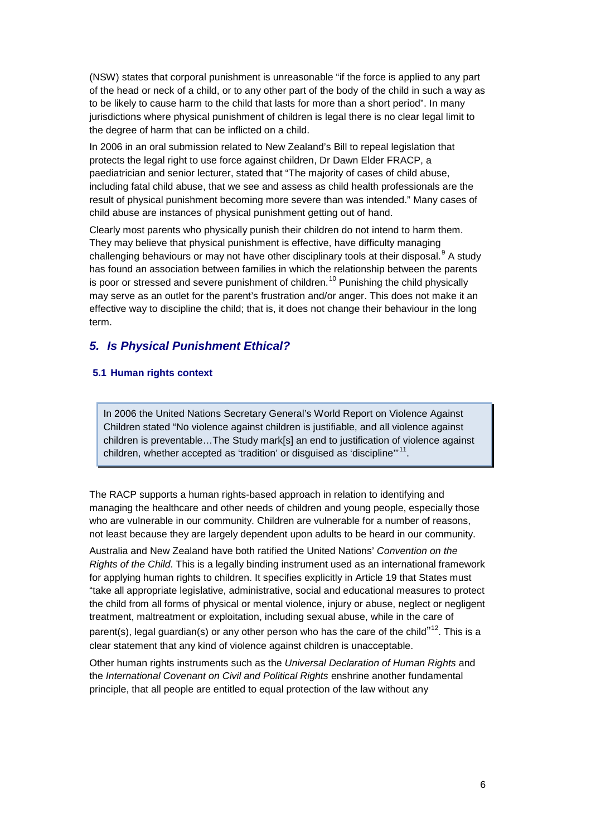(NSW) states that corporal punishment is unreasonable "if the force is applied to any part of the head or neck of a child, or to any other part of the body of the child in such a way as to be likely to cause harm to the child that lasts for more than a short period". In many jurisdictions where physical punishment of children is legal there is no clear legal limit to the degree of harm that can be inflicted on a child.

In 2006 in an oral submission related to New Zealand's Bill to repeal legislation that protects the legal right to use force against children, Dr Dawn Elder FRACP, a paediatrician and senior lecturer, stated that "The majority of cases of child abuse, including fatal child abuse, that we see and assess as child health professionals are the result of physical punishment becoming more severe than was intended." Many cases of child abuse are instances of physical punishment getting out of hand.

Clearly most parents who physically punish their children do not intend to harm them. They may believe that physical punishment is effective, have difficulty managing challenging behaviours or may not have other disciplinary tools at their disposal.<sup>[9](#page-13-7)</sup> A study has found an association between families in which the relationship between the parents is poor or stressed and severe punishment of children.<sup>[10](#page-13-8)</sup> Punishing the child physically may serve as an outlet for the parent's frustration and/or anger. This does not make it an effective way to discipline the child; that is, it does not change their behaviour in the long term.

# <span id="page-5-0"></span>*5. Is Physical Punishment Ethical?*

### **5.1 Human rights context**

In 2006 the United Nations Secretary General's World Report on Violence Against Children stated "No violence against children is justifiable, and all violence against children is preventable…The Study mark[s] an end to justification of violence against children, whether accepted as 'tradition' or disguised as 'discipline"<sup>[11](#page-13-9)</sup>.

The RACP supports a human rights-based approach in relation to identifying and managing the healthcare and other needs of children and young people, especially those who are vulnerable in our community. Children are vulnerable for a number of reasons, not least because they are largely dependent upon adults to be heard in our community.

Australia and New Zealand have both ratified the United Nations' *Convention on the Rights of the Child*. This is a legally binding instrument used as an international framework for applying human rights to children. It specifies explicitly in Article 19 that States must "take all appropriate legislative, administrative, social and educational measures to protect the child from all forms of physical or mental violence, injury or abuse, neglect or negligent treatment, maltreatment or exploitation, including sexual abuse, while in the care of parent(s), legal guardian(s) or any other person who has the care of the child<sup>"[12](#page-13-10)</sup>. This is a clear statement that any kind of violence against children is unacceptable.

Other human rights instruments such as the *Universal Declaration of Human Rights* and the *International Covenant on Civil and Political Rights* enshrine another fundamental principle, that all people are entitled to equal protection of the law without any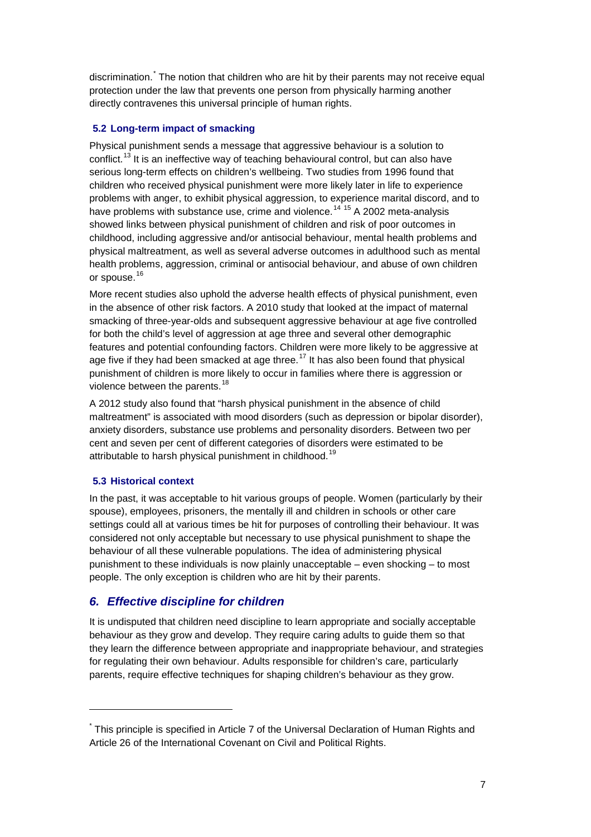discrimination.<sup>[\\*](#page-6-0)</sup> The notion that children who are hit by their parents may not receive equal protection under the law that prevents one person from physically harming another directly contravenes this universal principle of human rights.

### **5.2 Long-term impact of smacking**

Physical punishment sends a message that aggressive behaviour is a solution to conflict.[13](#page-13-11) It is an ineffective way of teaching behavioural control, but can also have serious long-term effects on children's wellbeing. Two studies from 1996 found that children who received physical punishment were more likely later in life to experience problems with anger, to exhibit physical aggression, to experience marital discord, and to have problems with substance use, crime and violence.<sup>[14](#page-13-12) [15](#page-13-13)</sup> A 2002 meta-analysis showed links between physical punishment of children and risk of poor outcomes in childhood, including aggressive and/or antisocial behaviour, mental health problems and physical maltreatment, as well as several adverse outcomes in adulthood such as mental health problems, aggression, criminal or antisocial behaviour, and abuse of own children or spouse.<sup>[16](#page-13-14)</sup>

<span id="page-6-1"></span>More recent studies also uphold the adverse health effects of physical punishment, even in the absence of other risk factors. A 2010 study that looked at the impact of maternal smacking of three-year-olds and subsequent aggressive behaviour at age five controlled for both the child's level of aggression at age three and several other demographic features and potential confounding factors. Children were more likely to be aggressive at age five if they had been smacked at age three.<sup>[17](#page-13-15)</sup> It has also been found that physical punishment of children is more likely to occur in families where there is aggression or violence between the parents.<sup>[18](#page-13-16)</sup>

A 2012 study also found that "harsh physical punishment in the absence of child maltreatment" is associated with mood disorders (such as depression or bipolar disorder), anxiety disorders, substance use problems and personality disorders. Between two per cent and seven per cent of different categories of disorders were estimated to be attributable to harsh physical punishment in childhood.<sup>[19](#page-13-17)</sup>

### **5.3 Historical context**

-

In the past, it was acceptable to hit various groups of people. Women (particularly by their spouse), employees, prisoners, the mentally ill and children in schools or other care settings could all at various times be hit for purposes of controlling their behaviour. It was considered not only acceptable but necessary to use physical punishment to shape the behaviour of all these vulnerable populations. The idea of administering physical punishment to these individuals is now plainly unacceptable – even shocking – to most people. The only exception is children who are hit by their parents.

# *6. Effective discipline for children*

It is undisputed that children need discipline to learn appropriate and socially acceptable behaviour as they grow and develop. They require caring adults to guide them so that they learn the difference between appropriate and inappropriate behaviour, and strategies for regulating their own behaviour. Adults responsible for children's care, particularly parents, require effective techniques for shaping children's behaviour as they grow.

<span id="page-6-0"></span><sup>\*</sup> This principle is specified in Article 7 of the Universal Declaration of Human Rights and Article 26 of the International Covenant on Civil and Political Rights.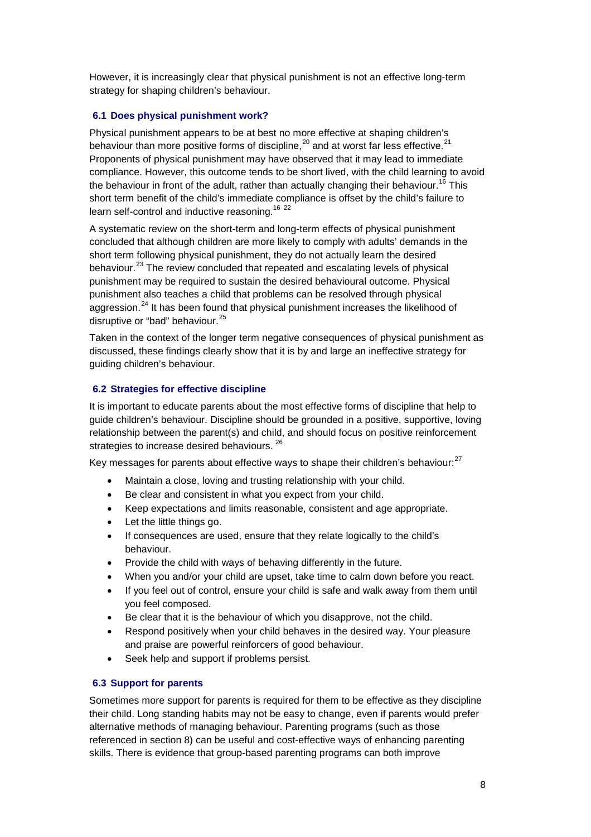However, it is increasingly clear that physical punishment is not an effective long-term strategy for shaping children's behaviour.

### <span id="page-7-0"></span>**6.1 Does physical punishment work?**

Physical punishment appears to be at best no more effective at shaping children's behaviour than more positive forms of discipline,  $^{20}$  $^{20}$  $^{20}$  and at worst far less effective.<sup>[21](#page-13-19)</sup> Proponents of physical punishment may have observed that it may lead to immediate compliance. However, this outcome tends to be short lived, with the child learning to avoid the behaviour in front of the adult, rather than actually changing their behaviour.<sup>[16](#page-6-1)</sup> This short term benefit of the child's immediate compliance is offset by the child's failure to learn self-control and inductive reasoning.<sup>[16](#page-6-1) [22](#page-13-20)</sup>

A systematic review on the short-term and long-term effects of physical punishment concluded that although children are more likely to comply with adults' demands in the short term following physical punishment, they do not actually learn the desired behaviour.<sup>[23](#page-13-21)</sup> The review concluded that repeated and escalating levels of physical punishment may be required to sustain the desired behavioural outcome. Physical punishment also teaches a child that problems can be resolved through physical aggression.<sup>[24](#page-13-22)</sup> It has been found that physical punishment increases the likelihood of disruptive or "bad" behaviour.<sup>[25](#page-13-23)</sup>

Taken in the context of the longer term negative consequences of physical punishment as discussed, these findings clearly show that it is by and large an ineffective strategy for guiding children's behaviour.

### **6.2 Strategies for effective discipline**

It is important to educate parents about the most effective forms of discipline that help to guide children's behaviour. Discipline should be grounded in a positive, supportive, loving relationship between the parent(s) and child, and should focus on positive reinforcement strategies to increase desired behaviours. <sup>[26](#page-13-24)</sup>

Key messages for parents about effective ways to shape their children's behaviour:<sup>[27](#page-13-25)</sup>

- <span id="page-7-1"></span>• Maintain a close, loving and trusting relationship with your child.
- Be clear and consistent in what you expect from your child.
- Keep expectations and limits reasonable, consistent and age appropriate.
- Let the little things go.
- If consequences are used, ensure that they relate logically to the child's behaviour.
- Provide the child with ways of behaving differently in the future.
- When you and/or your child are upset, take time to calm down before you react.
- If you feel out of control, ensure your child is safe and walk away from them until you feel composed.
- Be clear that it is the behaviour of which you disapprove, not the child.
- Respond positively when your child behaves in the desired way. Your pleasure and praise are powerful reinforcers of good behaviour.
- Seek help and support if problems persist.

### **6.3 Support for parents**

Sometimes more support for parents is required for them to be effective as they discipline their child. Long standing habits may not be easy to change, even if parents would prefer alternative methods of managing behaviour. Parenting programs (such as those referenced in section [8\)](#page-9-0) can be useful and cost-effective ways of enhancing parenting skills. There is evidence that group-based parenting programs can both improve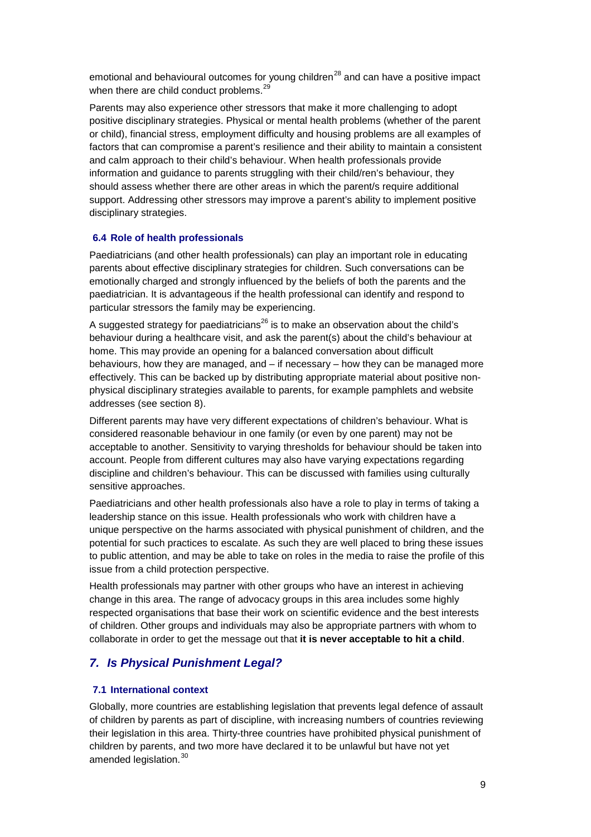emotional and behavioural outcomes for young children $^{28}$  $^{28}$  $^{28}$  and can have a positive impact when there are child conduct problems.<sup>2</sup>

Parents may also experience other stressors that make it more challenging to adopt positive disciplinary strategies. Physical or mental health problems (whether of the parent or child), financial stress, employment difficulty and housing problems are all examples of factors that can compromise a parent's resilience and their ability to maintain a consistent and calm approach to their child's behaviour. When health professionals provide information and guidance to parents struggling with their child/ren's behaviour, they should assess whether there are other areas in which the parent/s require additional support. Addressing other stressors may improve a parent's ability to implement positive disciplinary strategies.

### **6.4 Role of health professionals**

Paediatricians (and other health professionals) can play an important role in educating parents about effective disciplinary strategies for children. Such conversations can be emotionally charged and strongly influenced by the beliefs of both the parents and the paediatrician. It is advantageous if the health professional can identify and respond to particular stressors the family may be experiencing.

A suggested strategy for paediatricians<sup>[26](#page-7-1)</sup> is to make an observation about the child's behaviour during a healthcare visit, and ask the parent(s) about the child's behaviour at home. This may provide an opening for a balanced conversation about difficult behaviours, how they are managed, and – if necessary – how they can be managed more effectively. This can be backed up by distributing appropriate material about positive nonphysical disciplinary strategies available to parents, for example pamphlets and website addresses (see section [8\)](#page-9-0).

Different parents may have very different expectations of children's behaviour. What is considered reasonable behaviour in one family (or even by one parent) may not be acceptable to another. Sensitivity to varying thresholds for behaviour should be taken into account. People from different cultures may also have varying expectations regarding discipline and children's behaviour. This can be discussed with families using culturally sensitive approaches.

Paediatricians and other health professionals also have a role to play in terms of taking a leadership stance on this issue. Health professionals who work with children have a unique perspective on the harms associated with physical punishment of children, and the potential for such practices to escalate. As such they are well placed to bring these issues to public attention, and may be able to take on roles in the media to raise the profile of this issue from a child protection perspective.

Health professionals may partner with other groups who have an interest in achieving change in this area. The range of advocacy groups in this area includes some highly respected organisations that base their work on scientific evidence and the best interests of children. Other groups and individuals may also be appropriate partners with whom to collaborate in order to get the message out that **it is never acceptable to hit a child**.

# *7. Is Physical Punishment Legal?*

### **7.1 International context**

Globally, more countries are establishing legislation that prevents legal defence of assault of children by parents as part of discipline, with increasing numbers of countries reviewing their legislation in this area. Thirty-three countries have prohibited physical punishment of children by parents, and two more have declared it to be unlawful but have not yet amended legislation.<sup>[30](#page-13-28)</sup>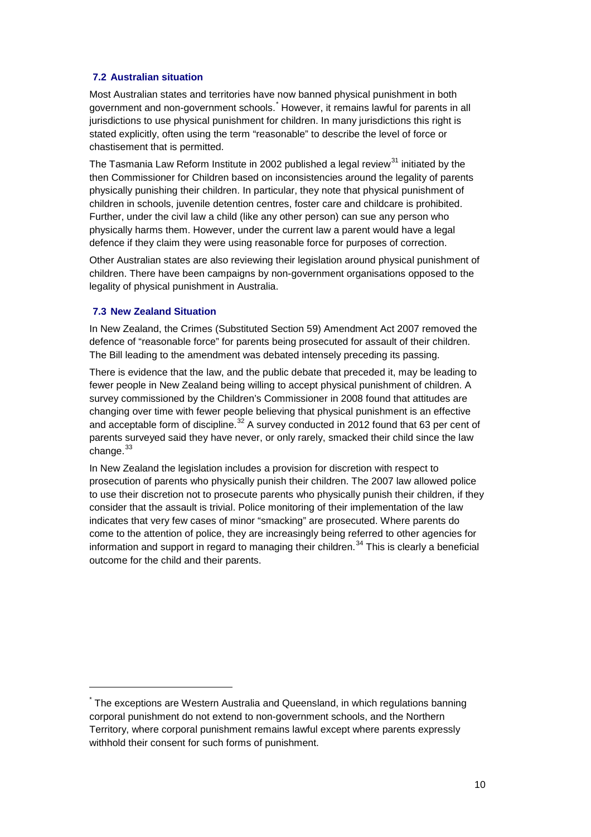### **7.2 Australian situation**

Most Australian states and territories have now banned physical punishment in both government and non-government schools.[\\*](#page-9-1) However, it remains lawful for parents in all jurisdictions to use physical punishment for children. In many jurisdictions this right is stated explicitly, often using the term "reasonable" to describe the level of force or chastisement that is permitted.

The Tasmania Law Reform Institute in 2002 published a legal review<sup>[31](#page-13-29)</sup> initiated by the then Commissioner for Children based on inconsistencies around the legality of parents physically punishing their children. In particular, they note that physical punishment of children in schools, juvenile detention centres, foster care and childcare is prohibited. Further, under the civil law a child (like any other person) can sue any person who physically harms them. However, under the current law a parent would have a legal defence if they claim they were using reasonable force for purposes of correction.

Other Australian states are also reviewing their legislation around physical punishment of children. There have been campaigns by non-government organisations opposed to the legality of physical punishment in Australia.

### **7.3 New Zealand Situation**

<span id="page-9-0"></span>-

In New Zealand, the Crimes (Substituted Section 59) Amendment Act 2007 removed the defence of "reasonable force" for parents being prosecuted for assault of their children. The Bill leading to the amendment was debated intensely preceding its passing.

There is evidence that the law, and the public debate that preceded it, may be leading to fewer people in New Zealand being willing to accept physical punishment of children. A survey commissioned by the Children's Commissioner in 2008 found that attitudes are changing over time with fewer people believing that physical punishment is an effective and acceptable form of discipline.<sup>[32](#page-13-30)</sup> A survey conducted in 2012 found that 63 per cent of parents surveyed said they have never, or only rarely, smacked their child since the law change.<sup>[33](#page-13-31)</sup>

In New Zealand the legislation includes a provision for discretion with respect to prosecution of parents who physically punish their children. The 2007 law allowed police to use their discretion not to prosecute parents who physically punish their children, if they consider that the assault is trivial. Police monitoring of their implementation of the law indicates that very few cases of minor "smacking" are prosecuted. Where parents do come to the attention of police, they are increasingly being referred to other agencies for information and support in regard to managing their children.<sup>[34](#page-13-32)</sup> This is clearly a beneficial outcome for the child and their parents.

<span id="page-9-1"></span><sup>\*</sup> The exceptions are Western Australia and Queensland, in which regulations banning corporal punishment do not extend to non-government schools, and the Northern Territory, where corporal punishment remains lawful except where parents expressly withhold their consent for such forms of punishment.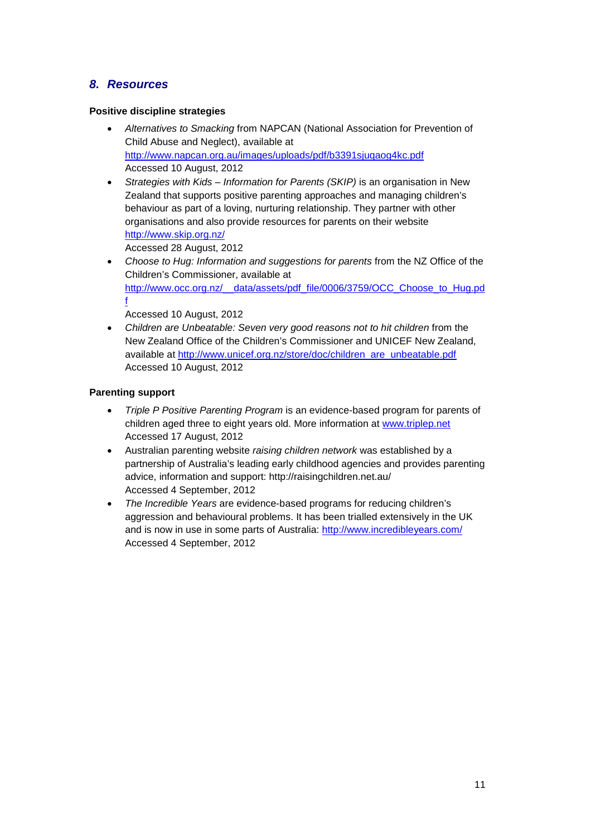# *8. Resources*

### **Positive discipline strategies**

- *Alternatives to Smacking* from NAPCAN (National Association for Prevention of Child Abuse and Neglect), available at <http://www.napcan.org.au/images/uploads/pdf/b3391sjuqaog4kc.pdf> Accessed 10 August, 2012
- *Strategies with Kids – Information for Parents (SKIP)* is an organisation in New Zealand that supports positive parenting approaches and managing children's behaviour as part of a loving, nurturing relationship. They partner with other organisations and also provide resources for parents on their website <http://www.skip.org.nz/> Accessed 28 August, 2012
- *Choose to Hug: Information and suggestions for parents* from the NZ Office of the Children's Commissioner, available at [http://www.occ.org.nz/\\_\\_data/assets/pdf\\_file/0006/3759/OCC\\_Choose\\_to\\_Hug.pd](http://www.occ.org.nz/__data/assets/pdf_file/0006/3759/OCC_Choose_to_Hug.pdf) [f](http://www.occ.org.nz/__data/assets/pdf_file/0006/3759/OCC_Choose_to_Hug.pdf)
	- Accessed 10 August, 2012
- *Children are Unbeatable: Seven very good reasons not to hit children* from the New Zealand Office of the Children's Commissioner and UNICEF New Zealand, available at [http://www.unicef.org.nz/store/doc/children\\_are\\_unbeatable.pdf](http://www.unicef.org.nz/store/doc/children_are_unbeatable.pdf) Accessed 10 August, 2012

### **Parenting support**

- *Triple P Positive Parenting Program* is an evidence-based program for parents of children aged three to eight years old. More information at [www.triplep.net](http://www.triplep.net/) Accessed 17 August, 2012
- Australian parenting website *raising children network* was established by a partnership of Australia's leading early childhood agencies and provides parenting advice, information and support: http://raisingchildren.net.au/ Accessed 4 September, 2012
- *The Incredible Years* are evidence-based programs for reducing children's aggression and behavioural problems. It has been trialled extensively in the UK and is now in use in some parts of Australia:<http://www.incredibleyears.com/> Accessed 4 September, 2012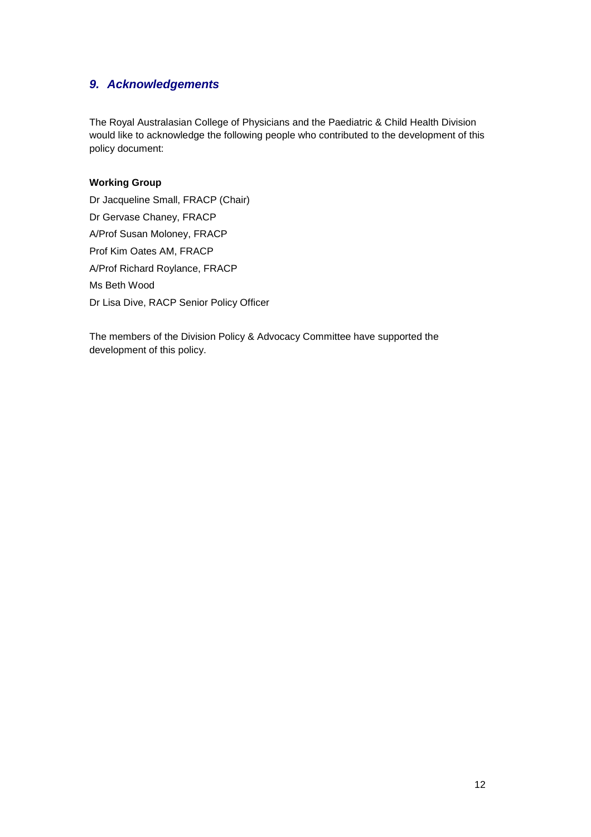# *9. Acknowledgements*

The Royal Australasian College of Physicians and the Paediatric & Child Health Division would like to acknowledge the following people who contributed to the development of this policy document:

### **Working Group**

Dr Jacqueline Small, FRACP (Chair) Dr Gervase Chaney, FRACP A/Prof Susan Moloney, FRACP Prof Kim Oates AM, FRACP A/Prof Richard Roylance, FRACP Ms Beth Wood Dr Lisa Dive, RACP Senior Policy Officer

The members of the Division Policy & Advocacy Committee have supported the development of this policy.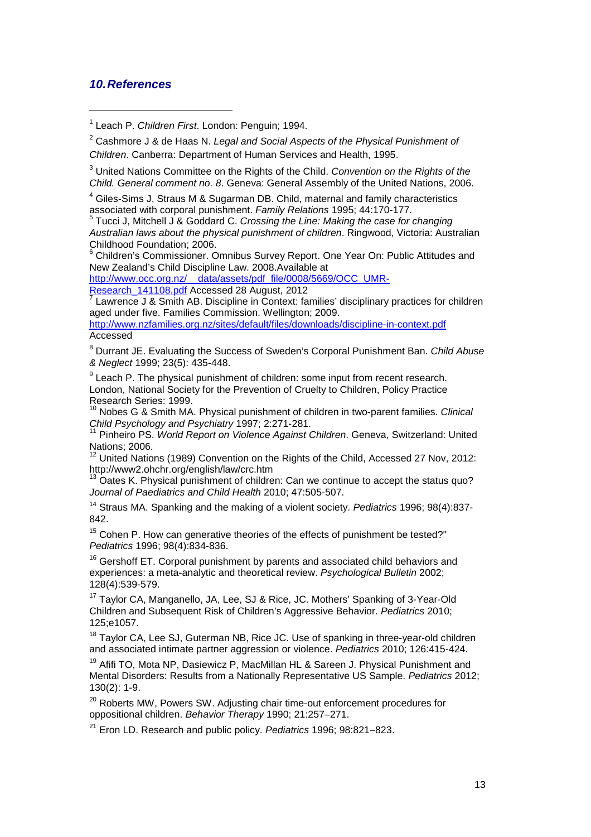# *10.References*

1

<sup>4</sup> Giles-Sims J, Straus M & Sugarman DB. Child, maternal and family characteristics associated with corporal punishment. *Family Relations* 1995; 44:170-177.

<sup>5</sup> Tucci J, Mitchell J & Goddard C. *Crossing the Line: Making the case for changing Australian laws about the physical punishment of children*. Ringwood, Victoria: Australian Childhood Foundation; 2006.

<sup>6</sup> Children's Commissioner. Omnibus Survey Report. One Year On: Public Attitudes and New Zealand's Child Discipline Law. 2008.Available at

http://www.occ.org.nz/\_\_data/assets/pdf\_file/0008/5669/OCC\_UMR-<br>Research\_141108.pdf Accessed 28 August, 2012

Lawrence J & Smith AB. Discipline in Context: families' disciplinary practices for children aged under five. Families Commission. Wellington; 2009.

<http://www.nzfamilies.org.nz/sites/default/files/downloads/discipline-in-context.pdf> Accessed

<sup>8</sup> Durrant JE. Evaluating the Success of Sweden's Corporal Punishment Ban. *Child Abuse & Neglect* 1999; 23(5): 435-448.

 $9$  Leach P. The physical punishment of children: some input from recent research. London, National Society for the Prevention of Cruelty to Children, Policy Practice Research Series: 1999.

<sup>10</sup> Nobes G & Smith MA. Physical punishment of children in two-parent families. *Clinical Child Psychology and Psychiatry* 1997; 2:271-281.

<sup>11</sup> Pinheiro PS. *World Report on Violence Against Children*. Geneva, Switzerland: United Nations; 2006.

12 United Nations (1989) Convention on the Rights of the Child, Accessed 27 Nov, 2012: http://www2.ohchr.org/english/law/crc.htm

Oates K. Physical punishment of children: Can we continue to accept the status quo? *Journal of Paediatrics and Child Health* 2010; 47:505-507.

<sup>14</sup> Straus MA. Spanking and the making of a violent society. *Pediatrics* 1996; 98(4):837- 842.

 $15$  Cohen P. How can generative theories of the effects of punishment be tested?" *Pediatrics* 1996; 98(4):834-836.

 $16$  Gershoff ET. Corporal punishment by parents and associated child behaviors and experiences: a meta-analytic and theoretical review. *Psychological Bulletin* 2002; 128(4):539-579.

<sup>17</sup> Taylor CA, Manganello, JA, Lee, SJ & Rice, JC. Mothers' Spanking of 3-Year-Old Children and Subsequent Risk of Children's Aggressive Behavior. *Pediatrics* 2010; 125;e1057.

<sup>18</sup> Taylor CA, Lee SJ, Guterman NB, Rice JC. Use of spanking in three-year-old children and associated intimate partner aggression or violence. *Pediatrics* 2010; 126:415-424.

<sup>19</sup> Afifi TO, Mota NP, Dasiewicz P, MacMillan HL & Sareen J. Physical Punishment and Mental Disorders: Results from a Nationally Representative US Sample. *Pediatrics* 2012; 130(2): 1-9.

<sup>20</sup> Roberts MW, Powers SW, Adjusting chair time-out enforcement procedures for oppositional children. *Behavior Therapy* 1990; 21:257–271.

<sup>21</sup> Eron LD. Research and public policy. *Pediatrics* 1996; 98:821–823.

<span id="page-12-0"></span><sup>1</sup> Leach P. *Children First*. London: Penguin; 1994.

<sup>2</sup> Cashmore J & de Haas N. *Legal and Social Aspects of the Physical Punishment of Children*. Canberra: Department of Human Services and Health, 1995.

<sup>3</sup> United Nations Committee on the Rights of the Child. *Convention on the Rights of the Child. General comment no. 8*. Geneva: General Assembly of the United Nations, 2006.